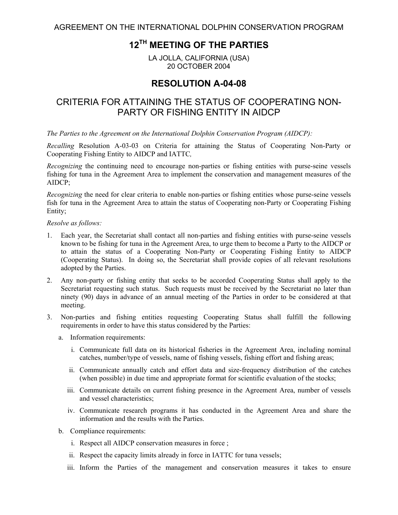AGREEMENT ON THE INTERNATIONAL DOLPHIN CONSERVATION PROGRAM

## **12TH MEETING OF THE PARTIES**

LA JOLLA, CALIFORNIA (USA) 20 OCTOBER 2004

## **RESOLUTION A-04-08**

## CRITERIA FOR ATTAINING THE STATUS OF COOPERATING NON-PARTY OR FISHING ENTITY IN AIDCP

*The Parties to the Agreement on the International Dolphin Conservation Program (AIDCP):* 

*Recalling* Resolution A-03-03 on Criteria for attaining the Status of Cooperating Non-Party or Cooperating Fishing Entity to AIDCP and IATTC*,* 

*Recognizing* the continuing need to encourage non-parties or fishing entities with purse-seine vessels fishing for tuna in the Agreement Area to implement the conservation and management measures of the AIDCP;

*Recognizing* the need for clear criteria to enable non-parties or fishing entities whose purse-seine vessels fish for tuna in the Agreement Area to attain the status of Cooperating non-Party or Cooperating Fishing Entity;

*Resolve as follows:* 

- 1. Each year, the Secretariat shall contact all non-parties and fishing entities with purse-seine vessels known to be fishing for tuna in the Agreement Area, to urge them to become a Party to the AIDCP or to attain the status of a Cooperating Non-Party or Cooperating Fishing Entity to AIDCP (Cooperating Status). In doing so, the Secretariat shall provide copies of all relevant resolutions adopted by the Parties.
- 2. Any non-party or fishing entity that seeks to be accorded Cooperating Status shall apply to the Secretariat requesting such status. Such requests must be received by the Secretariat no later than ninety (90) days in advance of an annual meeting of the Parties in order to be considered at that meeting.
- 3. Non-parties and fishing entities requesting Cooperating Status shall fulfill the following requirements in order to have this status considered by the Parties:
	- a. Information requirements:
		- i. Communicate full data on its historical fisheries in the Agreement Area, including nominal catches, number/type of vessels, name of fishing vessels, fishing effort and fishing areas;
		- ii. Communicate annually catch and effort data and size-frequency distribution of the catches (when possible) in due time and appropriate format for scientific evaluation of the stocks;
		- iii. Communicate details on current fishing presence in the Agreement Area, number of vessels and vessel characteristics;
		- iv. Communicate research programs it has conducted in the Agreement Area and share the information and the results with the Parties.
	- b. Compliance requirements:
		- i. Respect all AIDCP conservation measures in force ;
		- ii. Respect the capacity limits already in force in IATTC for tuna vessels;
		- iii. Inform the Parties of the management and conservation measures it takes to ensure